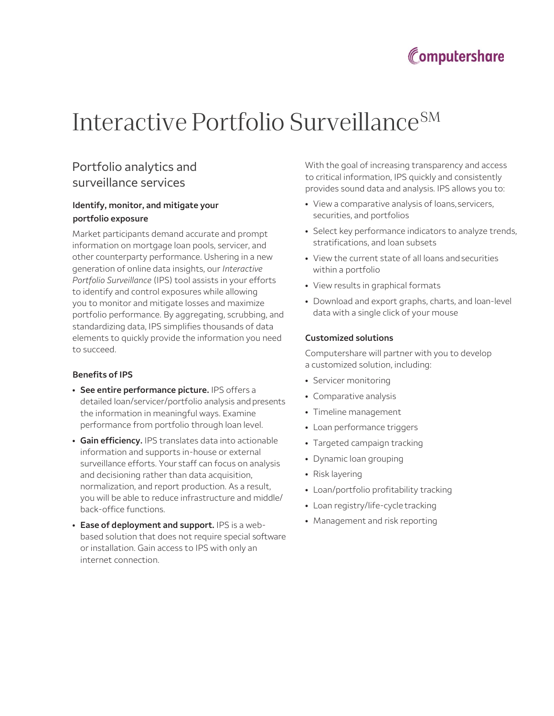

# Interactive Portfolio Surveillance<sup>SM</sup>

## Portfolio analytics and surveillance services

### Identify, monitor, and mitigate your portfolio exposure

Market participants demand accurate and prompt information on mortgage loan pools, servicer, and other counterparty performance. Ushering in a new generation of online data insights, our Interactive Portfolio Surveillance (IPS) tool assists in your efforts to identify and control exposures while allowing you to monitor and mitigate losses and maximize portfolio performance. By aggregating, scrubbing, and standardizing data, IPS simplifies thousands of data elements to quickly provide the information you need to succeed.

#### Benefits of IPS

- See entire performance picture. IPS offers a detailed loan/servicer/portfolio analysis and presents the information in meaningful ways. Examine performance from portfolio through loan level.
- Gain efficiency. IPS translates data into actionable information and supports in-house or external surveillance efforts. Your staff can focus on analysis and decisioning rather than data acquisition, normalization, and report production. As a result, you will be able to reduce infrastructure and middle/ back-office functions.
- Ease of deployment and support. IPS is a webbased solution that does not require special software or installation. Gain access to IPS with only an internet connection.

With the goal of increasing transparency and access to critical information, IPS quickly and consistently provides sound data and analysis. IPS allows you to:

- View a comparative analysis of loans, servicers, securities, and portfolios
- Select key performance indicators to analyze trends, stratifications, and loan subsets
- View the current state of all loans and securities within a portfolio
- View results in graphical formats
- Download and export graphs, charts, and loan-level data with a single click of your mouse

#### Customized solutions

Computershare will partner with you to develop a customized solution, including:

- Servicer monitoring
- Comparative analysis
- Timeline management
- Loan performance triggers
- Targeted campaign tracking
- Dynamic loan grouping
- Risk layering
- Loan/portfolio profitability tracking
- Loan registry/life-cycle tracking
- Management and risk reporting